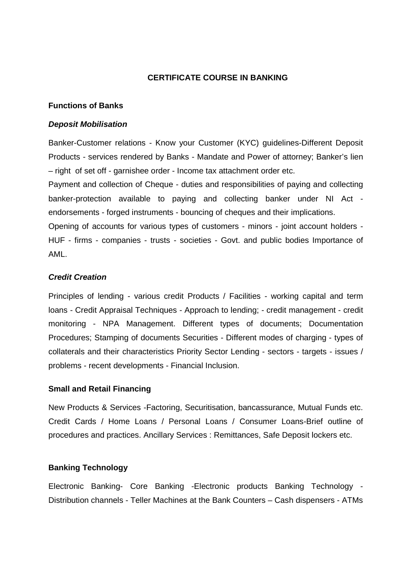# **CERTIFICATE COURSE IN BANKING**

### **Functions of Banks**

#### **Deposit Mobilisation**

Banker-Customer relations - Know your Customer (KYC) guidelines-Different Deposit Products - services rendered by Banks - Mandate and Power of attorney; Banker's lien – right of set off - garnishee order - Income tax attachment order etc.

Payment and collection of Cheque - duties and responsibilities of paying and collecting banker-protection available to paying and collecting banker under NI Act endorsements - forged instruments - bouncing of cheques and their implications.

Opening of accounts for various types of customers - minors - joint account holders - HUF - firms - companies - trusts - societies - Govt. and public bodies Importance of AML.

## **Credit Creation**

Principles of lending - various credit Products / Facilities - working capital and term loans - Credit Appraisal Techniques - Approach to lending; - credit management - credit monitoring - NPA Management. Different types of documents; Documentation Procedures; Stamping of documents Securities - Different modes of charging - types of collaterals and their characteristics Priority Sector Lending - sectors - targets - issues / problems - recent developments - Financial Inclusion.

#### **Small and Retail Financing**

New Products & Services -Factoring, Securitisation, bancassurance, Mutual Funds etc. Credit Cards / Home Loans / Personal Loans / Consumer Loans-Brief outline of procedures and practices. Ancillary Services : Remittances, Safe Deposit lockers etc.

## **Banking Technology**

Electronic Banking- Core Banking -Electronic products Banking Technology - Distribution channels - Teller Machines at the Bank Counters – Cash dispensers - ATMs